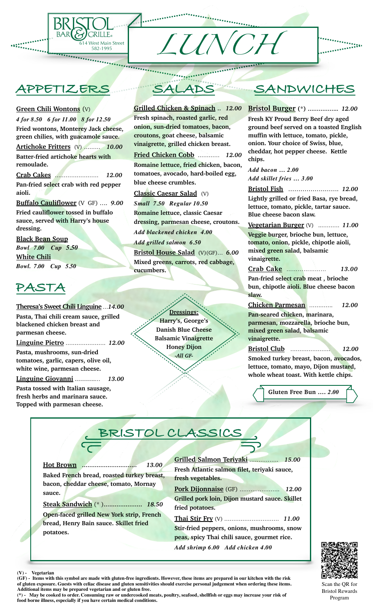

# **APPETIZERS**

#### **Green Chili Wontons** (V)

*4 for 8.50 6 for 11.00 8 for 12.50* **Fried wontons, Monterey Jack cheese, green chilies, with guacamole sauce**. **Artichoke Fritters** (V) ……… *10.00* **Batter-fried artichoke hearts with remoulade. Crab Cakes** …………………… *12.00*

**Pan-fried select crab with red pepper aioli.**

**Buffalo Cauliflower** (V GF) …. *9.00* **Fried cauliflower tossed in buffalo sauce, served with Harry's house dressing.** 

**Black Bean Soup** *Bowl**7.00 Cup 5.50*  **White Chili** *Bowl. 7.00 Cup 5.50* 

# **PASTA**

**Theresa's Sweet Chili Linguine** …*14.00* **Pasta, Thai chili cream sauce, grilled blackened chicken breast and parmesan cheese.**

**Linguine Pietro** …………………. *12.00* **Pasta, mushrooms, sun-dried tomatoes, garlic, capers, olive oil, white wine, parmesan cheese.**

**Linguine Giovanni** ……….… *13.00* **Pasta tossed with Italian sausage, fresh herbs and marinara sauce.** 

**Topped with parmesan cheese.** 

# **SALADS**

**Grilled Chicken & Spinach** .. *12.00* **Fresh spinach, roasted garlic, red onion, sun-dried tomatoes, bacon, croutons, goat cheese, balsamic vinaigrette, grilled chicken breast.**

**Fried Chicken Cobb** ………… *12.00* **Romaine lettuce, fried chicken, bacon, tomatoes, avocado, hard-boiled egg, blue cheese crumbles.**

**Classic Caesar Salad** (V) *Small 7.50 Regular 10.50* **Romaine lettuce, classic Caesar dressing, parmesan cheese, croutons.**

*Add blackened chicken 4.00 Add grilled salmon 6.50* **Bristol House Salad** (V)(GF)… *6.00*

**Mixed greens, carrots, red cabbage, cucumbers.**

> **Dressings: Harry's, George's Danish Blue Cheese Balsamic Vinaigrette Honey Dijon** *-All GF-*

# **SANDWICHES**

\*\*\*\*\*\*\*\*\*<br>\*\*\*\*\*\*\*\*\*

**Bristol Burger (\*) ……………..** *12.00*

**Fresh KY Proud Berry Beef dry aged ground beef served on a toasted English muffin with lettuce, tomato, pickle, onion. Your choice of Swiss, blue, cheddar, hot pepper cheese. Kettle chips.**

*Add bacon … 2.00 Add skillet fries … 3.00*

**Bristol Fish** ……………………. *12.00* **Lightly grilled or fried Basa, rye bread, lettuce, tomato, pickle, tartar sauce. Blue cheese bacon slaw.**

**Vegetarian Burger** (V) ..………. *11.00* **Veggie burger, brioche bun, lettuce, tomato, onion, pickle, chipotle aioli, mixed green salad, balsamic vinaigrette.**

**Crab Cake** *………………… 13.00* **Pan-fried select crab meat , brioche** 

**bun, chipotle aioli. Blue cheese bacon slaw.** 

**Chicken Parmesan** …………. *12.00*

**Pan-seared chicken, marinara, parmesan, mozzarella, brioche bun, mixed green salad, balsamic vinaigrette.** 

**Bristol Club** …………………. *12.00* **Smoked turkey breast, bacon, avocados, lettuce, tomato, mayo, Dijon mustard,** 

**Gluten Free Bun ….** *2.00*

**whole wheat toast. With kettle chips.**

# **BRISTOL CLASSICS**

**Hot Brown …………………………** *13.00* **Baked French bread, roasted turkey breast, bacon, cheddar cheese, tomato, Mornay sauce.**

**Steak Sandwich** (\* )**…………………** *18.50* **Open-faced grilled New York strip, French bread, Henry Bain sauce. Skillet fried potatoes.**

**Grilled Salmon Teriyaki** ……………. *15.00* **Fresh Atlantic salmon filet, teriyaki sauce, fresh vegetables.** 

**Pork Dijonnaise** (GF) …………………. *12.00* **Grilled pork loin, Dijon mustard sauce. Skillet fried potatoes.**

**Thai Stir Fry** (V) ………………………… *11.00* **Stir-fried peppers, onions, mushrooms, snow peas, spicy Thai chili sauce, gourmet rice.** *Add shrimp 6.00 Add chicken 4.00*



Scan the QR for Bristol Rewards Program

**Vegetarian** 

**(GF) - Items with this symbol are made with gluten-free ingredients. However, these items are prepared in our kitchen with the risk of gluten exposure. Guests with celiac disease and gluten sensitivities should exercise personal judgement when ordering these items. Additional items may be prepared vegetarian and or gluten free.** 

**(\*) - May be cooked to order. Consuming raw or undercooked meats, poultry, seafood, shellfish or eggs may increase your risk of food borne illness, especially if you have certain medical conditions.**